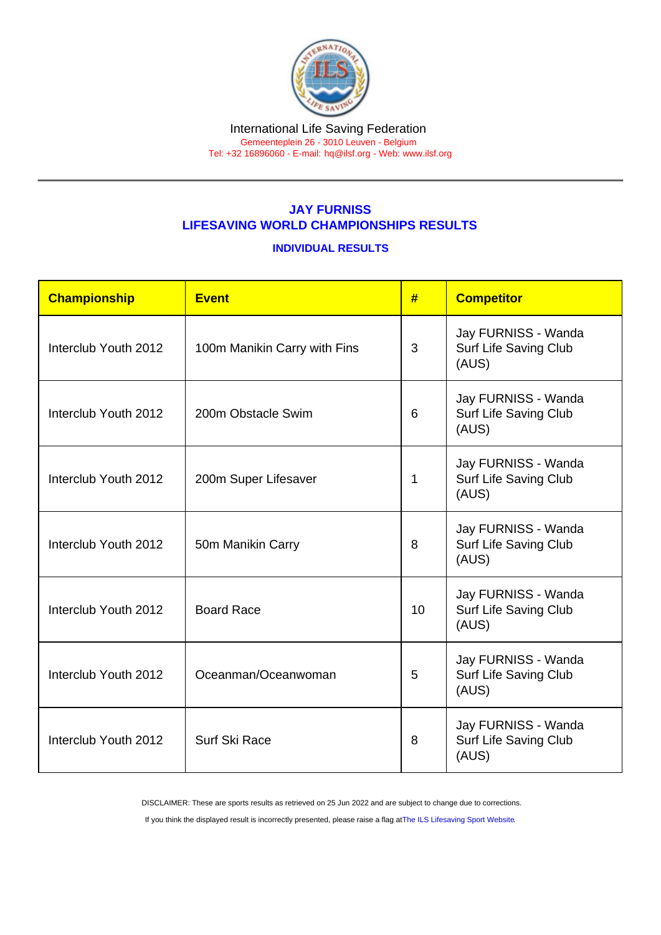#### International Life Saving Federation Gemeenteplein 26 - 3010 Leuven - Belgium

Tel: +32 16896060 - E-mail: [hq@ilsf.org](mailto:hq@ilsf.org) - Web: [www.ilsf.org](https://www.ilsf.org)

## JAY FURNISS LIFESAVING WORLD CHAMPIONSHIPS RESULTS

### INDIVIDUAL RESULTS

| Championship         | <b>Event</b>                 | #  | <b>Competitor</b>                                            |
|----------------------|------------------------------|----|--------------------------------------------------------------|
| Interclub Youth 2012 | 100m Manikin Carry with Fins | 3  | Jay FURNISS - Wanda<br><b>Surf Life Saving Club</b><br>(AUS) |
| Interclub Youth 2012 | 200m Obstacle Swim           | 6  | Jay FURNISS - Wanda<br>Surf Life Saving Club<br>(AUS)        |
| Interclub Youth 2012 | 200m Super Lifesaver         | 1  | Jay FURNISS - Wanda<br>Surf Life Saving Club<br>(AUS)        |
| Interclub Youth 2012 | 50m Manikin Carry            | 8  | Jay FURNISS - Wanda<br>Surf Life Saving Club<br>(AUS)        |
| Interclub Youth 2012 | <b>Board Race</b>            | 10 | Jay FURNISS - Wanda<br>Surf Life Saving Club<br>(AUS)        |
| Interclub Youth 2012 | Oceanman/Oceanwoman          | 5  | Jay FURNISS - Wanda<br>Surf Life Saving Club<br>(AUS)        |
| Interclub Youth 2012 | Surf Ski Race                | 8  | Jay FURNISS - Wanda<br>Surf Life Saving Club<br>(AUS)        |

DISCLAIMER: These are sports results as retrieved on 25 Jun 2022 and are subject to change due to corrections.

If you think the displayed result is incorrectly presented, please raise a flag at [The ILS Lifesaving Sport Website.](https://sport.ilsf.org)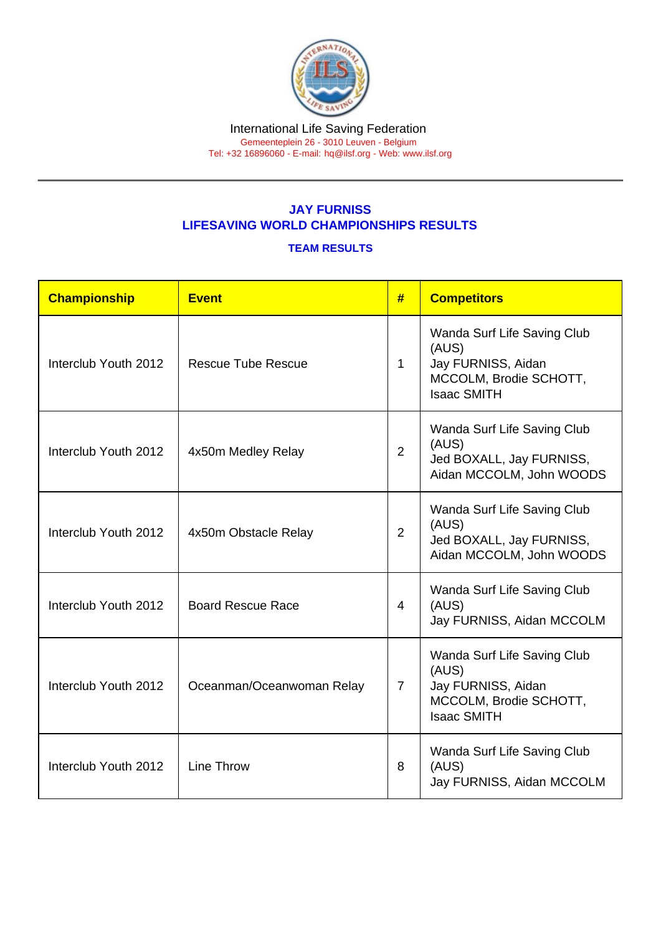# JAY FURNISS LIFESAVING WORLD CHAMPIONSHIPS RESULTS

### TEAM RESULTS

| Championship         | Event                     | #              | <b>Competitors</b>                                                                                         |
|----------------------|---------------------------|----------------|------------------------------------------------------------------------------------------------------------|
| Interclub Youth 2012 | <b>Rescue Tube Rescue</b> | $\mathbf{1}$   | Wanda Surf Life Saving Club<br>(AUS)<br>Jay FURNISS, Aidan<br>MCCOLM, Brodie SCHOTT,<br><b>Isaac SMITH</b> |
| Interclub Youth 2012 | 4x50m Medley Relay        | $\overline{2}$ | Wanda Surf Life Saving Club<br>(AUS)<br>Jed BOXALL, Jay FURNISS,<br>Aidan MCCOLM, John WOODS               |
| Interclub Youth 2012 | 4x50m Obstacle Relay      | $\overline{2}$ | Wanda Surf Life Saving Club<br>(AUS)<br>Jed BOXALL, Jay FURNISS,<br>Aidan MCCOLM, John WOODS               |
| Interclub Youth 2012 | <b>Board Rescue Race</b>  | 4              | Wanda Surf Life Saving Club<br>(AUS)<br>Jay FURNISS, Aidan MCCOLM                                          |
| Interclub Youth 2012 | Oceanman/Oceanwoman Relay | $\overline{7}$ | Wanda Surf Life Saving Club<br>(AUS)<br>Jay FURNISS, Aidan<br>MCCOLM, Brodie SCHOTT,<br><b>Isaac SMITH</b> |
| Interclub Youth 2012 | <b>Line Throw</b>         | 8              | Wanda Surf Life Saving Club<br>(AUS)<br>Jay FURNISS, Aidan MCCOLM                                          |